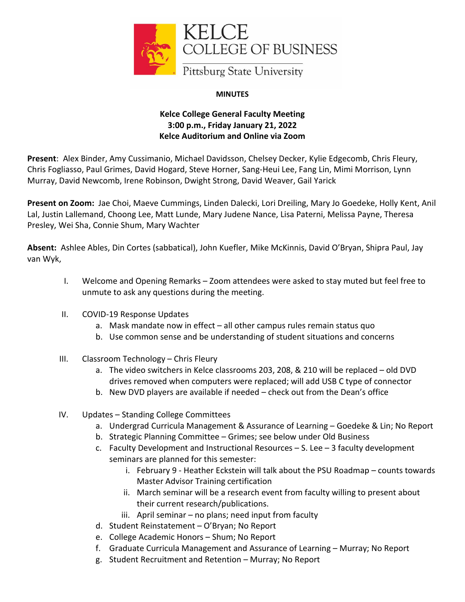

## **MINUTES**

## **Kelce College General Faculty Meeting 3:00 p.m., Friday January 21, 2022 Kelce Auditorium and Online via Zoom**

**Present**: Alex Binder, Amy Cussimanio, Michael Davidsson, Chelsey Decker, Kylie Edgecomb, Chris Fleury, Chris Fogliasso, Paul Grimes, David Hogard, Steve Horner, Sang-Heui Lee, Fang Lin, Mimi Morrison, Lynn Murray, David Newcomb, Irene Robinson, Dwight Strong, David Weaver, Gail Yarick

**Present on Zoom:** Jae Choi, Maeve Cummings, Linden Dalecki, Lori Dreiling, Mary Jo Goedeke, Holly Kent, Anil Lal, Justin Lallemand, Choong Lee, Matt Lunde, Mary Judene Nance, Lisa Paterni, Melissa Payne, Theresa Presley, Wei Sha, Connie Shum, Mary Wachter

**Absent:** Ashlee Ables, Din Cortes (sabbatical), John Kuefler, Mike McKinnis, David O'Bryan, Shipra Paul, Jay van Wyk,

- I. Welcome and Opening Remarks Zoom attendees were asked to stay muted but feel free to unmute to ask any questions during the meeting.
- II. COVID-19 Response Updates
	- a. Mask mandate now in effect all other campus rules remain status quo
	- b. Use common sense and be understanding of student situations and concerns
- III. Classroom Technology Chris Fleury
	- a. The video switchers in Kelce classrooms 203, 208, & 210 will be replaced old DVD drives removed when computers were replaced; will add USB C type of connector
	- b. New DVD players are available if needed check out from the Dean's office
- IV. Updates Standing College Committees
	- a. Undergrad Curricula Management & Assurance of Learning Goedeke & Lin; No Report
	- b. Strategic Planning Committee Grimes; see below under Old Business
	- c. Faculty Development and Instructional Resources S. Lee 3 faculty development seminars are planned for this semester:
		- i. February 9 Heather Eckstein will talk about the PSU Roadmap counts towards Master Advisor Training certification
		- ii. March seminar will be a research event from faculty willing to present about their current research/publications.
		- iii. April seminar no plans; need input from faculty
	- d. Student Reinstatement O'Bryan; No Report
	- e. College Academic Honors Shum; No Report
	- f. Graduate Curricula Management and Assurance of Learning Murray; No Report
	- g. Student Recruitment and Retention Murray; No Report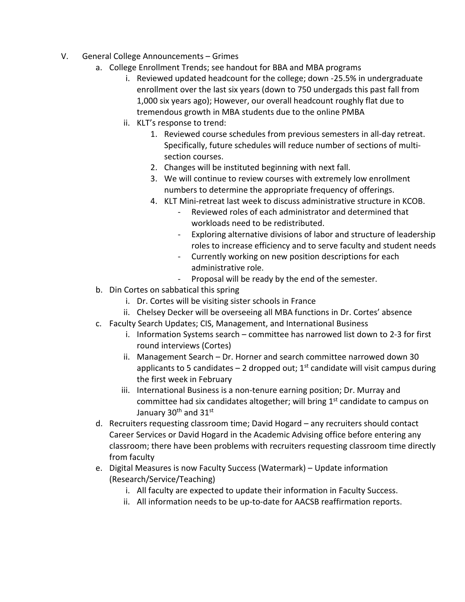- V. General College Announcements Grimes
	- a. College Enrollment Trends; see handout for BBA and MBA programs
		- i. Reviewed updated headcount for the college; down -25.5% in undergraduate enrollment over the last six years (down to 750 undergads this past fall from 1,000 six years ago); However, our overall headcount roughly flat due to tremendous growth in MBA students due to the online PMBA
		- ii. KLT's response to trend:
			- 1. Reviewed course schedules from previous semesters in all-day retreat. Specifically, future schedules will reduce number of sections of multisection courses.
			- 2. Changes will be instituted beginning with next fall.
			- 3. We will continue to review courses with extremely low enrollment numbers to determine the appropriate frequency of offerings.
			- 4. KLT Mini-retreat last week to discuss administrative structure in KCOB.
				- Reviewed roles of each administrator and determined that workloads need to be redistributed.
				- Exploring alternative divisions of labor and structure of leadership roles to increase efficiency and to serve faculty and student needs
				- Currently working on new position descriptions for each administrative role.
				- Proposal will be ready by the end of the semester.
	- b. Din Cortes on sabbatical this spring
		- i. Dr. Cortes will be visiting sister schools in France
		- ii. Chelsey Decker will be overseeing all MBA functions in Dr. Cortes' absence
	- c. Faculty Search Updates; CIS, Management, and International Business
		- i. Information Systems search committee has narrowed list down to 2-3 for first round interviews (Cortes)
		- ii. Management Search Dr. Horner and search committee narrowed down 30 applicants to 5 candidates – 2 dropped out;  $1<sup>st</sup>$  candidate will visit campus during the first week in February
		- iii. International Business is a non-tenure earning position; Dr. Murray and committee had six candidates altogether; will bring  $1<sup>st</sup>$  candidate to campus on January  $30<sup>th</sup>$  and  $31<sup>st</sup>$
	- d. Recruiters requesting classroom time; David Hogard any recruiters should contact Career Services or David Hogard in the Academic Advising office before entering any classroom; there have been problems with recruiters requesting classroom time directly from faculty
	- e. Digital Measures is now Faculty Success (Watermark) Update information (Research/Service/Teaching)
		- i. All faculty are expected to update their information in Faculty Success.
		- ii. All information needs to be up-to-date for AACSB reaffirmation reports.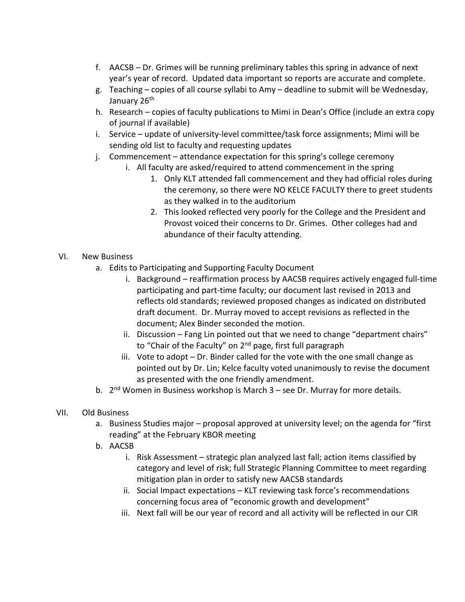- f. AACSB Dr. Grimes will be running preliminary tables this spring in advance of next year's year of record. Updated data important so reports are accurate and complete.
- g. Teaching copies of all course syllabi to Amy deadline to submit will be Wednesday, January 26<sup>th</sup>
- h. Research copies of faculty publications to Mimi in Dean's Office (include an extra copy of journal if available)
- i. Service update of university-level committee/task force assignments; Mimi will be sending old list to faculty and requesting updates
- j. Commencement attendance expectation for this spring's college ceremony
	- i. All faculty are asked/required to attend commencement in the spring
		- 1. Only KLT attended fall commencement and they had official roles during the ceremony, so there were NO KELCE FACULTY there to greet students as they walked in to the auditorium
		- 2. This looked reflected very poorly for the College and the President and Provost voiced their concerns to Dr. Grimes. Other colleges had and abundance of their faculty attending.
- VI. New Business
	- a. Edits to Participating and Supporting Faculty Document
		- i. Background reaffirmation process by AACSB requires actively engaged full-time participating and part-time faculty; our document last revised in 2013 and reflects old standards; reviewed proposed changes as indicated on distributed draft document. Dr. Murray moved to accept revisions as reflected in the document; Alex Binder seconded the motion.
		- ii. Discussion Fang Lin pointed out that we need to change "department chairs" to "Chair of the Faculty" on 2<sup>nd</sup> page, first full paragraph
		- iii. Vote to adopt Dr. Binder called for the vote with the one small change as pointed out by Dr. Lin; Kelce faculty voted unanimously to revise the document as presented with the one friendly amendment.
	- b.  $2^{nd}$  Women in Business workshop is March  $3 -$  see Dr. Murray for more details.
- VII. Old Business
	- a. Business Studies major proposal approved at university level; on the agenda for "first reading" at the February KBOR meeting
	- b. AACSB
		- i. Risk Assessment strategic plan analyzed last fall; action items classified by category and level of risk; full Strategic Planning Committee to meet regarding mitigation plan in order to satisfy new AACSB standards
		- ii. Social Impact expectations KLT reviewing task force's recommendations concerning focus area of "economic growth and development"
		- iii. Next fall will be our year of record and all activity will be reflected in our CIR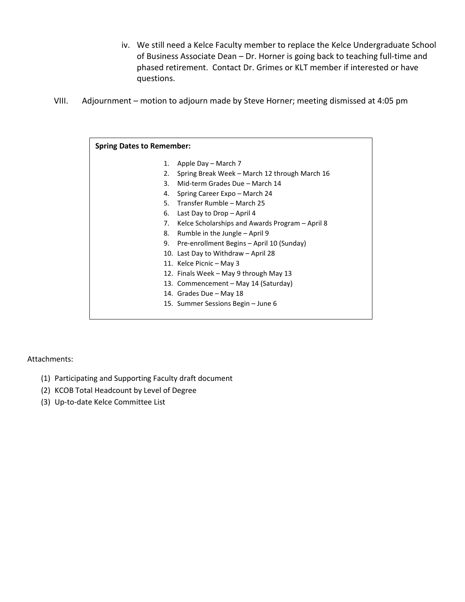- iv. We still need a Kelce Faculty member to replace the Kelce Undergraduate School of Business Associate Dean – Dr. Horner is going back to teaching full-time and phased retirement. Contact Dr. Grimes or KLT member if interested or have questions.
- VIII. Adjournment motion to adjourn made by Steve Horner; meeting dismissed at 4:05 pm

| <b>Spring Dates to Remember:</b> |                                                 |  |  |  |  |  |
|----------------------------------|-------------------------------------------------|--|--|--|--|--|
| 1.                               | Apple Day – March 7                             |  |  |  |  |  |
| 2.                               | Spring Break Week – March 12 through March 16   |  |  |  |  |  |
| 3.                               | Mid-term Grades Due - March 14                  |  |  |  |  |  |
| 4.                               | Spring Career Expo – March 24                   |  |  |  |  |  |
| 5.                               | Transfer Rumble - March 25                      |  |  |  |  |  |
| 6.                               | Last Day to Drop - April 4                      |  |  |  |  |  |
| 7.                               | Kelce Scholarships and Awards Program – April 8 |  |  |  |  |  |
| 8.                               | Rumble in the Jungle – April 9                  |  |  |  |  |  |
| 9.                               | Pre-enrollment Begins – April 10 (Sunday)       |  |  |  |  |  |
|                                  | 10. Last Day to Withdraw – April 28             |  |  |  |  |  |
|                                  | 11. Kelce Picnic - May 3                        |  |  |  |  |  |
|                                  | 12. Finals Week – May 9 through May 13          |  |  |  |  |  |
|                                  | 13. Commencement – May 14 (Saturday)            |  |  |  |  |  |
|                                  | 14. Grades Due – May 18                         |  |  |  |  |  |
|                                  | 15. Summer Sessions Begin – June 6              |  |  |  |  |  |
|                                  |                                                 |  |  |  |  |  |

Attachments:

- (1) Participating and Supporting Faculty draft document
- (2) KCOB Total Headcount by Level of Degree
- (3) Up-to-date Kelce Committee List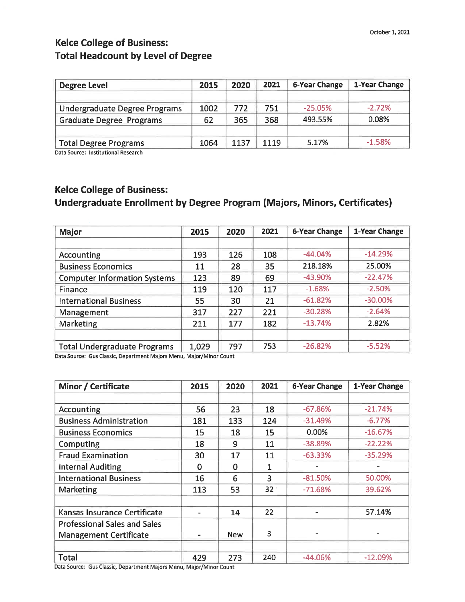# **Kelce College of Business: Total Headcount by Level of Degree**

| <b>Degree Level</b>             | 2015 | 2020 | 2021 | <b>6-Year Change</b> | 1-Year Change |
|---------------------------------|------|------|------|----------------------|---------------|
| Undergraduate Degree Programs   | 1002 | 772  | 751  | $-25.05\%$           | $-2.72%$      |
| <b>Graduate Degree Programs</b> | 62   | 365  | 368  | 493.55%              | 0.08%         |
| <b>Total Degree Programs</b>    | 1064 | 1137 | 1119 | 5.17%                | $-1.58%$      |

Data Source: Institutional Research

# **Kelce College of Business:**

## Undergraduate Enrollment by Degree Program (Majors, Minors, Certificates)

| <b>Major</b>                        | 2015  | 2020 | 2021 | <b>6-Year Change</b> | 1-Year Change |
|-------------------------------------|-------|------|------|----------------------|---------------|
|                                     |       |      |      |                      |               |
| Accounting                          | 193   | 126  | 108  | $-44.04%$            | $-14.29%$     |
| <b>Business Economics</b>           | 11    | 28   | 35   | 218.18%              | 25.00%        |
| <b>Computer Information Systems</b> | 123   | 89   | 69   | $-43.90%$            | $-22.47%$     |
| Finance                             | 119   | 120  | 117  | $-1.68%$             | $-2.50%$      |
| <b>International Business</b>       | 55    | 30   | 21   | $-61.82%$            | $-30.00\%$    |
| Management                          | 317   | 227  | 221  | $-30.28%$            | $-2.64%$      |
| Marketing                           | 211   | 177  | 182  | $-13.74%$            | 2.82%         |
|                                     |       |      |      |                      |               |
| <b>Total Undergraduate Programs</b> | 1,029 | 797  | 753  | $-26.82%$            | $-5.52%$      |

Data Source: Gus Classic, Department Majors Menu, Major/Minor Count

| Minor / Certificate                 | 2015           | 2020       | 2021            | <b>6-Year Change</b> | <b>1-Year Change</b> |
|-------------------------------------|----------------|------------|-----------------|----------------------|----------------------|
|                                     |                |            |                 |                      |                      |
| <b>Accounting</b>                   | 56             | 23         | 18              | $-67.86%$            | $-21.74%$            |
| <b>Business Administration</b>      | 181            | 133        | 124             | $-31.49%$            | $-6.77%$             |
| <b>Business Economics</b>           | 15             | 18         | 15              | 0.00%                | $-16.67%$            |
| Computing                           | 18             | 9          | 11              | $-38.89%$            | $-22.22%$            |
| <b>Fraud Examination</b>            | 30             | 17         | 11              | $-63.33%$            | $-35.29%$            |
| <b>Internal Auditing</b>            | $\Omega$       | $\Omega$   | 1               |                      |                      |
| <b>International Business</b>       | 16             | 6          | $\overline{3}$  | $-81.50%$            | 50.00%               |
| Marketing                           | 113            | 53         | 32 <sup>2</sup> | $-71.68%$            | 39.62%               |
|                                     |                |            |                 |                      |                      |
| Kansas Insurance Certificate        |                | 14         | 22              |                      | 57.14%               |
| <b>Professional Sales and Sales</b> |                |            |                 |                      |                      |
| <b>Management Certificate</b>       | $\blacksquare$ | <b>New</b> | 3               |                      |                      |
|                                     |                |            |                 |                      |                      |
| <b>Total</b>                        | 429            | 273        | 240             | $-44.06%$            | $-12.09%$            |

Data Source: Gus Classic, Department Majors Menu, Major/Minor Count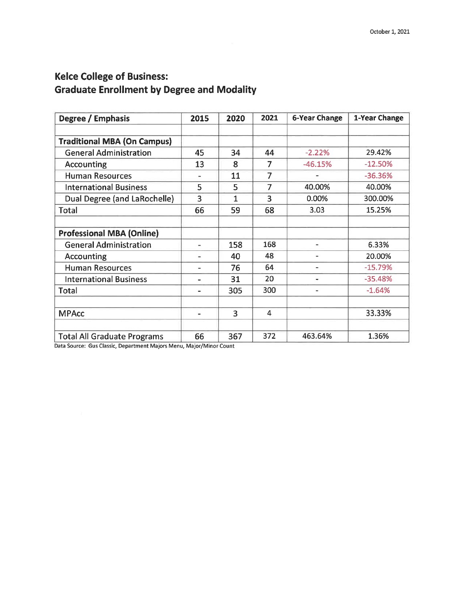# **Kelce College of Business: Graduate Enrollment by Degree and Modality**

| Degree / Emphasis                  | 2015                     | 2020 | 2021           | <b>6-Year Change</b> | 1-Year Change |
|------------------------------------|--------------------------|------|----------------|----------------------|---------------|
|                                    |                          |      |                |                      |               |
| <b>Traditional MBA (On Campus)</b> |                          |      |                |                      |               |
| <b>General Administration</b>      | 45                       | 34   | 44             | $-2.22%$             | 29.42%        |
| Accounting                         | 13                       | 8    | 7              | $-46.15%$            | $-12.50%$     |
| <b>Human Resources</b>             |                          | 11   | 7              |                      | $-36.36%$     |
| <b>International Business</b>      | 5                        | 5    | 7              | 40.00%               | 40.00%        |
| Dual Degree (and LaRochelle)       | $\overline{3}$           | 1    | 3              | 0.00%                | 300.00%       |
| <b>Total</b>                       | 66                       | 59   | 68             | 3.03                 | 15.25%        |
|                                    |                          |      |                |                      |               |
| <b>Professional MBA (Online)</b>   |                          |      |                |                      |               |
| <b>General Administration</b>      | $\overline{a}$           | 158  | 168            |                      | 6.33%         |
| Accounting                         |                          | 40   | 48             |                      | 20.00%        |
| <b>Human Resources</b>             |                          | 76   | 64             | $\blacksquare$       | $-15.79%$     |
| <b>International Business</b>      | $\overline{\phantom{0}}$ | 31   | 20             | ٠                    | $-35.48%$     |
| Total                              | $\blacksquare$           | 305  | 300            | $\blacksquare$       | $-1.64%$      |
|                                    |                          |      |                |                      |               |
| <b>MPAcc</b>                       | $\blacksquare$           | 3    | $\overline{4}$ |                      | 33.33%        |
|                                    |                          |      |                |                      |               |
| <b>Total All Graduate Programs</b> | 66                       | 367  | 372            | 463.64%              | 1.36%         |

Data Source: Gus Classic, Department Majors Menu, Major/Minor Count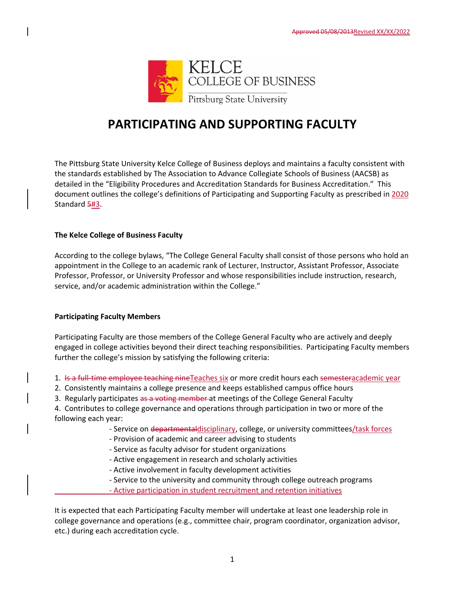

# **PARTICIPATING AND SUPPORTING FACULTY**

The Pittsburg State University Kelce College of Business deploys and maintains a faculty consistent with the standards established by The Association to Advance Collegiate Schools of Business (AACSB) as detailed in the "Eligibility Procedures and Accreditation Standards for Business Accreditation." This document outlines the college's definitions of Participating and Supporting Faculty as prescribed in 2020 Standard 5#3.

### **The Kelce College of Business Faculty**

According to the college bylaws, "The College General Faculty shall consist of those persons who hold an appointment in the College to an academic rank of Lecturer, Instructor, Assistant Professor, Associate Professor, Professor, or University Professor and whose responsibilities include instruction, research, service, and/or academic administration within the College."

### **Participating Faculty Members**

Participating Faculty are those members of the College General Faculty who are actively and deeply engaged in college activities beyond their direct teaching responsibilities. Participating Faculty members further the college's mission by satisfying the following criteria:

- 1. Is a full-time employee teaching nine Teaches six or more credit hours each semesteracademic year
- 2. Consistently maintains a college presence and keeps established campus office hours
- 3. Regularly participates as a voting member at meetings of the College General Faculty

4. Contributes to college governance and operations through participation in two or more of the following each year:

- ‐ Service on departmentaldisciplinary, college, or university committees/task forces
- ‐ Provision of academic and career advising to students
- ‐ Service as faculty advisor for student organizations
- ‐ Active engagement in research and scholarly activities
- ‐ Active involvement in faculty development activities
- ‐ Service to the university and community through college outreach programs
- ‐ Active participation in student recruitment and retention initiatives

It is expected that each Participating Faculty member will undertake at least one leadership role in college governance and operations (e.g., committee chair, program coordinator, organization advisor, etc.) during each accreditation cycle.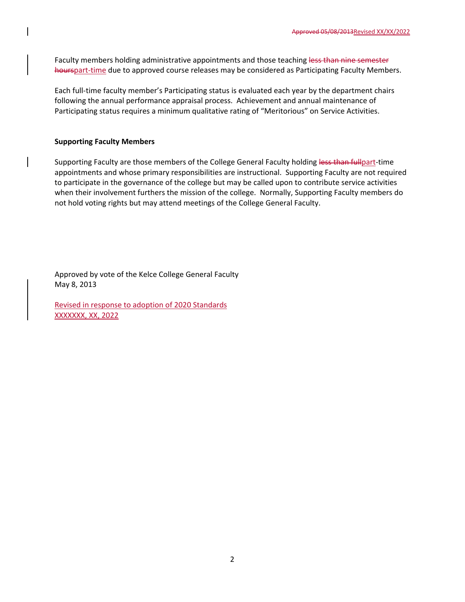Faculty members holding administrative appointments and those teaching less than nine semester hourspart-time due to approved course releases may be considered as Participating Faculty Members.

Each full‐time faculty member's Participating status is evaluated each year by the department chairs following the annual performance appraisal process. Achievement and annual maintenance of Participating status requires a minimum qualitative rating of "Meritorious" on Service Activities.

### **Supporting Faculty Members**

Supporting Faculty are those members of the College General Faculty holding less than fullpart-time appointments and whose primary responsibilities are instructional. Supporting Faculty are not required to participate in the governance of the college but may be called upon to contribute service activities when their involvement furthers the mission of the college. Normally, Supporting Faculty members do not hold voting rights but may attend meetings of the College General Faculty.

Approved by vote of the Kelce College General Faculty May 8, 2013

Revised in response to adoption of 2020 Standards XXXXXXX, XX, 2022